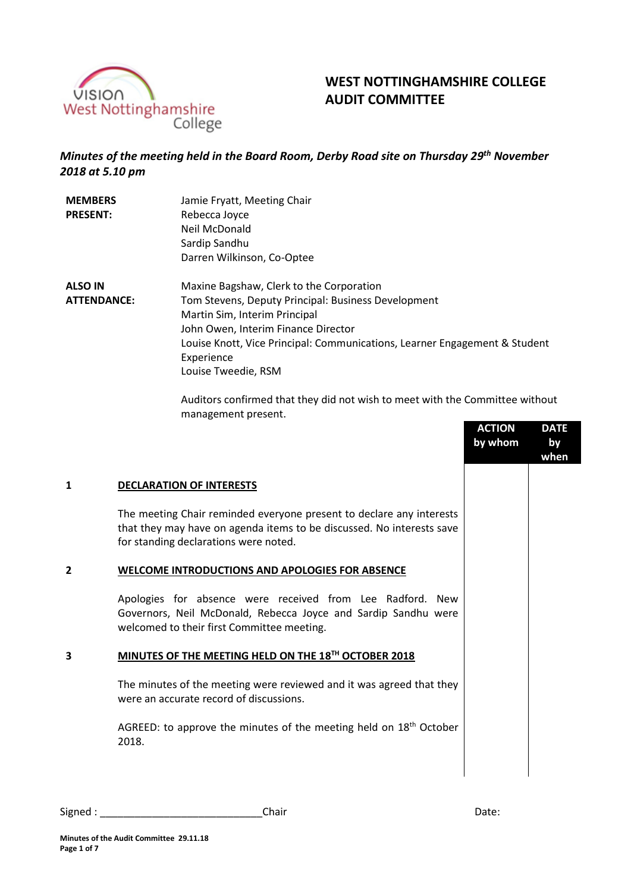

# **WEST NOTTINGHAMSHIRE COLLEGE AUDIT COMMITTEE**

## *Minutes of the meeting held in the Board Room, Derby Road site on Thursday 29th November 2018 at 5.10 pm*

| <b>MEMBERS</b><br><b>PRESENT:</b>    | Jamie Fryatt, Meeting Chair<br>Rebecca Joyce<br>Neil McDonald<br>Sardip Sandhu                                                                                                                                                                                                             |
|--------------------------------------|--------------------------------------------------------------------------------------------------------------------------------------------------------------------------------------------------------------------------------------------------------------------------------------------|
|                                      | Darren Wilkinson, Co-Optee                                                                                                                                                                                                                                                                 |
| <b>ALSO IN</b><br><b>ATTENDANCE:</b> | Maxine Bagshaw, Clerk to the Corporation<br>Tom Stevens, Deputy Principal: Business Development<br>Martin Sim, Interim Principal<br>John Owen, Interim Finance Director<br>Louise Knott, Vice Principal: Communications, Learner Engagement & Student<br>Experience<br>Louise Tweedie, RSM |

Auditors confirmed that they did not wish to meet with the Committee without management present.

|   |                                                                                                                                                                                        | <b>ACTION</b><br>by whom | <b>DATE</b><br>by<br>when |
|---|----------------------------------------------------------------------------------------------------------------------------------------------------------------------------------------|--------------------------|---------------------------|
| 1 | <b>DECLARATION OF INTERESTS</b>                                                                                                                                                        |                          |                           |
|   | The meeting Chair reminded everyone present to declare any interests<br>that they may have on agenda items to be discussed. No interests save<br>for standing declarations were noted. |                          |                           |
| 2 | <b>WELCOME INTRODUCTIONS AND APOLOGIES FOR ABSENCE</b>                                                                                                                                 |                          |                           |
|   | Apologies for absence were received from Lee Radford. New<br>Governors, Neil McDonald, Rebecca Joyce and Sardip Sandhu were<br>welcomed to their first Committee meeting.              |                          |                           |
| 3 | MINUTES OF THE MEETING HELD ON THE 18TH OCTOBER 2018                                                                                                                                   |                          |                           |
|   | The minutes of the meeting were reviewed and it was agreed that they<br>were an accurate record of discussions.                                                                        |                          |                           |
|   | AGREED: to approve the minutes of the meeting held on 18 <sup>th</sup> October<br>2018.                                                                                                |                          |                           |
|   |                                                                                                                                                                                        |                          |                           |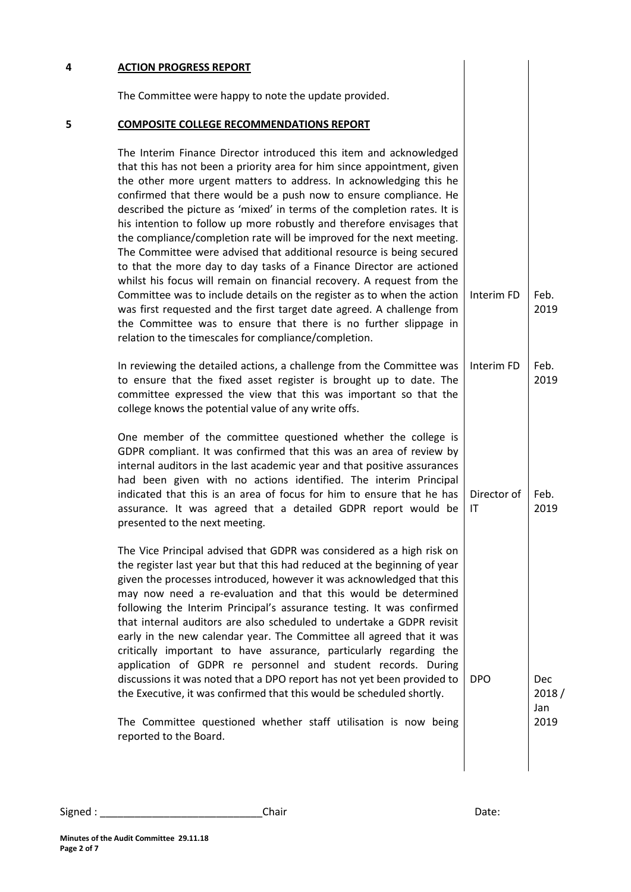| 4 | <b>ACTION PROGRESS REPORT</b>                                                                                                                                                                                                                                                                                                                                                                                                                                                                                                                                                                                                                                                                                                                                                                                                                                                                                                                                                                                                     |                       |                     |
|---|-----------------------------------------------------------------------------------------------------------------------------------------------------------------------------------------------------------------------------------------------------------------------------------------------------------------------------------------------------------------------------------------------------------------------------------------------------------------------------------------------------------------------------------------------------------------------------------------------------------------------------------------------------------------------------------------------------------------------------------------------------------------------------------------------------------------------------------------------------------------------------------------------------------------------------------------------------------------------------------------------------------------------------------|-----------------------|---------------------|
|   | The Committee were happy to note the update provided.                                                                                                                                                                                                                                                                                                                                                                                                                                                                                                                                                                                                                                                                                                                                                                                                                                                                                                                                                                             |                       |                     |
| 5 | <b>COMPOSITE COLLEGE RECOMMENDATIONS REPORT</b>                                                                                                                                                                                                                                                                                                                                                                                                                                                                                                                                                                                                                                                                                                                                                                                                                                                                                                                                                                                   |                       |                     |
|   | The Interim Finance Director introduced this item and acknowledged<br>that this has not been a priority area for him since appointment, given<br>the other more urgent matters to address. In acknowledging this he<br>confirmed that there would be a push now to ensure compliance. He<br>described the picture as 'mixed' in terms of the completion rates. It is<br>his intention to follow up more robustly and therefore envisages that<br>the compliance/completion rate will be improved for the next meeting.<br>The Committee were advised that additional resource is being secured<br>to that the more day to day tasks of a Finance Director are actioned<br>whilst his focus will remain on financial recovery. A request from the<br>Committee was to include details on the register as to when the action<br>was first requested and the first target date agreed. A challenge from<br>the Committee was to ensure that there is no further slippage in<br>relation to the timescales for compliance/completion. | Interim <sub>FD</sub> | Feb.<br>2019        |
|   | In reviewing the detailed actions, a challenge from the Committee was<br>to ensure that the fixed asset register is brought up to date. The<br>committee expressed the view that this was important so that the<br>college knows the potential value of any write offs.                                                                                                                                                                                                                                                                                                                                                                                                                                                                                                                                                                                                                                                                                                                                                           | Interim FD            | Feb.<br>2019        |
|   | One member of the committee questioned whether the college is<br>GDPR compliant. It was confirmed that this was an area of review by<br>internal auditors in the last academic year and that positive assurances<br>had been given with no actions identified. The interim Principal<br>indicated that this is an area of focus for him to ensure that he has<br>assurance. It was agreed that a detailed GDPR report would be<br>presented to the next meeting.                                                                                                                                                                                                                                                                                                                                                                                                                                                                                                                                                                  | Director of<br>ΙT     | Feb.<br>2019        |
|   | The Vice Principal advised that GDPR was considered as a high risk on<br>the register last year but that this had reduced at the beginning of year<br>given the processes introduced, however it was acknowledged that this<br>may now need a re-evaluation and that this would be determined<br>following the Interim Principal's assurance testing. It was confirmed<br>that internal auditors are also scheduled to undertake a GDPR revisit<br>early in the new calendar year. The Committee all agreed that it was<br>critically important to have assurance, particularly regarding the<br>application of GDPR re personnel and student records. During<br>discussions it was noted that a DPO report has not yet been provided to<br>the Executive, it was confirmed that this would be scheduled shortly.                                                                                                                                                                                                                 | <b>DPO</b>            | Dec<br>2018/<br>Jan |
|   | The Committee questioned whether staff utilisation is now being<br>reported to the Board.                                                                                                                                                                                                                                                                                                                                                                                                                                                                                                                                                                                                                                                                                                                                                                                                                                                                                                                                         |                       | 2019                |
|   |                                                                                                                                                                                                                                                                                                                                                                                                                                                                                                                                                                                                                                                                                                                                                                                                                                                                                                                                                                                                                                   |                       |                     |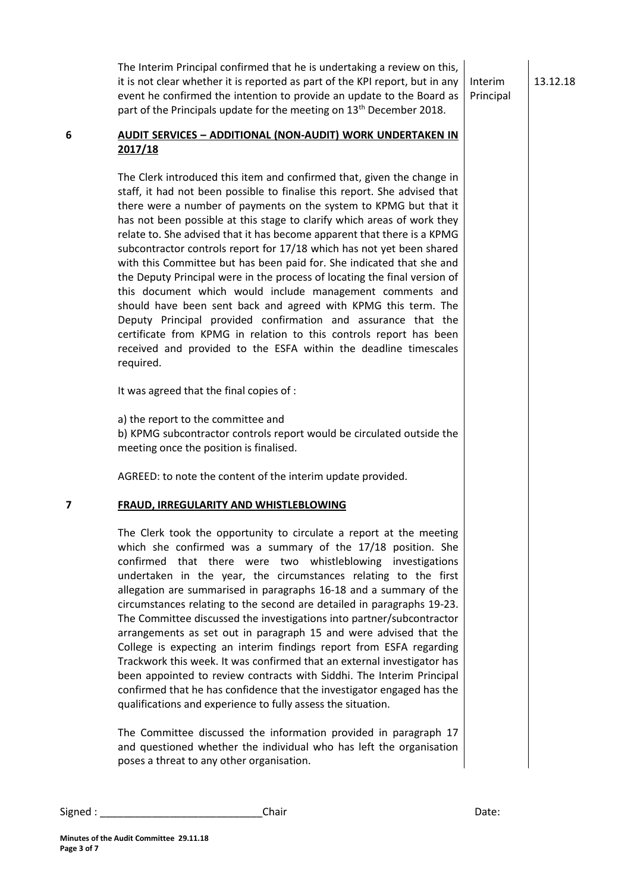13.12.18

The Interim Principal confirmed that he is undertaking a review on this, it is not clear whether it is reported as part of the KPI report, but in any event he confirmed the intention to provide an update to the Board as part of the Principals update for the meeting on 13<sup>th</sup> December 2018. Interim Principal

### **6 AUDIT SERVICES – ADDITIONAL (NON-AUDIT) WORK UNDERTAKEN IN 2017/18**

The Clerk introduced this item and confirmed that, given the change in staff, it had not been possible to finalise this report. She advised that there were a number of payments on the system to KPMG but that it has not been possible at this stage to clarify which areas of work they relate to. She advised that it has become apparent that there is a KPMG subcontractor controls report for 17/18 which has not yet been shared with this Committee but has been paid for. She indicated that she and the Deputy Principal were in the process of locating the final version of this document which would include management comments and should have been sent back and agreed with KPMG this term. The Deputy Principal provided confirmation and assurance that the certificate from KPMG in relation to this controls report has been received and provided to the ESFA within the deadline timescales required.

It was agreed that the final copies of :

a) the report to the committee and

b) KPMG subcontractor controls report would be circulated outside the meeting once the position is finalised.

AGREED: to note the content of the interim update provided.

#### **7 FRAUD, IRREGULARITY AND WHISTLEBLOWING**

The Clerk took the opportunity to circulate a report at the meeting which she confirmed was a summary of the 17/18 position. She confirmed that there were two whistleblowing investigations undertaken in the year, the circumstances relating to the first allegation are summarised in paragraphs 16-18 and a summary of the circumstances relating to the second are detailed in paragraphs 19-23. The Committee discussed the investigations into partner/subcontractor arrangements as set out in paragraph 15 and were advised that the College is expecting an interim findings report from ESFA regarding Trackwork this week. It was confirmed that an external investigator has been appointed to review contracts with Siddhi. The Interim Principal confirmed that he has confidence that the investigator engaged has the qualifications and experience to fully assess the situation.

The Committee discussed the information provided in paragraph 17 and questioned whether the individual who has left the organisation poses a threat to any other organisation.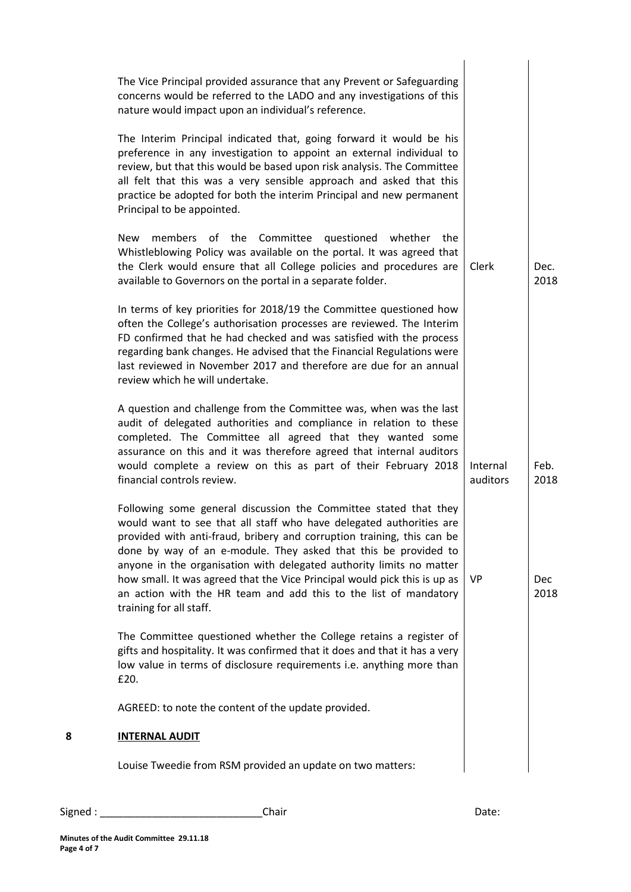|   | The Vice Principal provided assurance that any Prevent or Safeguarding<br>concerns would be referred to the LADO and any investigations of this<br>nature would impact upon an individual's reference.                                                                                                                                                                                                                                                                                                                                   |                      |                    |
|---|------------------------------------------------------------------------------------------------------------------------------------------------------------------------------------------------------------------------------------------------------------------------------------------------------------------------------------------------------------------------------------------------------------------------------------------------------------------------------------------------------------------------------------------|----------------------|--------------------|
|   | The Interim Principal indicated that, going forward it would be his<br>preference in any investigation to appoint an external individual to<br>review, but that this would be based upon risk analysis. The Committee<br>all felt that this was a very sensible approach and asked that this<br>practice be adopted for both the interim Principal and new permanent<br>Principal to be appointed.                                                                                                                                       |                      |                    |
|   | <b>New</b><br>members of the Committee questioned<br>whether<br>the<br>Whistleblowing Policy was available on the portal. It was agreed that<br>the Clerk would ensure that all College policies and procedures are<br>available to Governors on the portal in a separate folder.                                                                                                                                                                                                                                                        | Clerk                | Dec.<br>2018       |
|   | In terms of key priorities for 2018/19 the Committee questioned how<br>often the College's authorisation processes are reviewed. The Interim<br>FD confirmed that he had checked and was satisfied with the process<br>regarding bank changes. He advised that the Financial Regulations were<br>last reviewed in November 2017 and therefore are due for an annual<br>review which he will undertake.                                                                                                                                   |                      |                    |
|   | A question and challenge from the Committee was, when was the last<br>audit of delegated authorities and compliance in relation to these<br>completed. The Committee all agreed that they wanted some<br>assurance on this and it was therefore agreed that internal auditors<br>would complete a review on this as part of their February 2018<br>financial controls review.                                                                                                                                                            | Internal<br>auditors | Feb.<br>2018       |
|   | Following some general discussion the Committee stated that they<br>would want to see that all staff who have delegated authorities are<br>provided with anti-fraud, bribery and corruption training, this can be<br>done by way of an e-module. They asked that this be provided to<br>anyone in the organisation with delegated authority limits no matter<br>how small. It was agreed that the Vice Principal would pick this is up as<br>an action with the HR team and add this to the list of mandatory<br>training for all staff. | <b>VP</b>            | <b>Dec</b><br>2018 |
|   | The Committee questioned whether the College retains a register of<br>gifts and hospitality. It was confirmed that it does and that it has a very<br>low value in terms of disclosure requirements i.e. anything more than<br>£20.                                                                                                                                                                                                                                                                                                       |                      |                    |
|   | AGREED: to note the content of the update provided.                                                                                                                                                                                                                                                                                                                                                                                                                                                                                      |                      |                    |
| 8 | <b>INTERNAL AUDIT</b>                                                                                                                                                                                                                                                                                                                                                                                                                                                                                                                    |                      |                    |
|   | Louise Tweedie from RSM provided an update on two matters:                                                                                                                                                                                                                                                                                                                                                                                                                                                                               |                      |                    |
|   |                                                                                                                                                                                                                                                                                                                                                                                                                                                                                                                                          |                      |                    |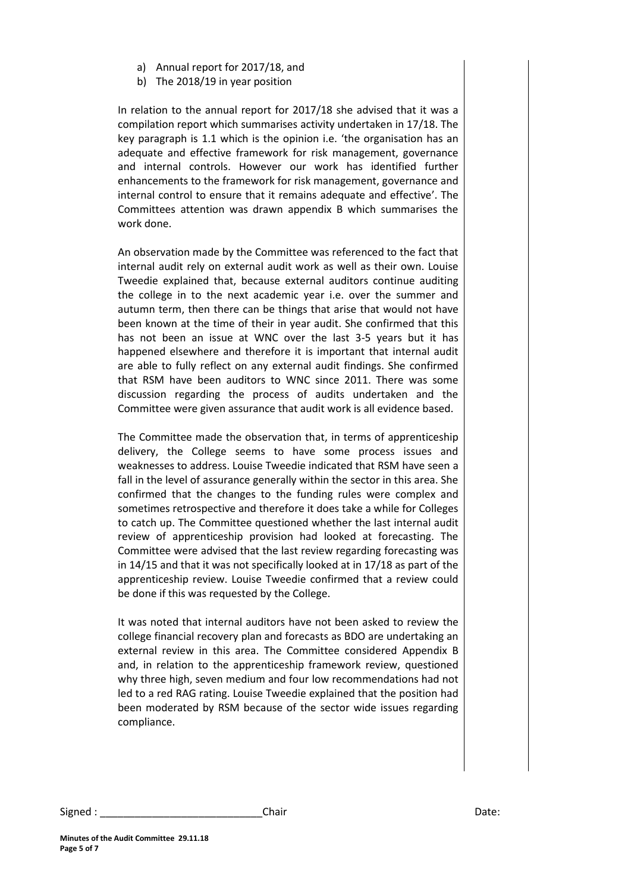- a) Annual report for 2017/18, and
- b) The 2018/19 in year position

In relation to the annual report for 2017/18 she advised that it was a compilation report which summarises activity undertaken in 17/18. The key paragraph is 1.1 which is the opinion i.e. 'the organisation has an adequate and effective framework for risk management, governance and internal controls. However our work has identified further enhancements to the framework for risk management, governance and internal control to ensure that it remains adequate and effective'. The Committees attention was drawn appendix B which summarises the work done.

An observation made by the Committee was referenced to the fact that internal audit rely on external audit work as well as their own. Louise Tweedie explained that, because external auditors continue auditing the college in to the next academic year i.e. over the summer and autumn term, then there can be things that arise that would not have been known at the time of their in year audit. She confirmed that this has not been an issue at WNC over the last 3-5 years but it has happened elsewhere and therefore it is important that internal audit are able to fully reflect on any external audit findings. She confirmed that RSM have been auditors to WNC since 2011. There was some discussion regarding the process of audits undertaken and the Committee were given assurance that audit work is all evidence based.

The Committee made the observation that, in terms of apprenticeship delivery, the College seems to have some process issues and weaknesses to address. Louise Tweedie indicated that RSM have seen a fall in the level of assurance generally within the sector in this area. She confirmed that the changes to the funding rules were complex and sometimes retrospective and therefore it does take a while for Colleges to catch up. The Committee questioned whether the last internal audit review of apprenticeship provision had looked at forecasting. The Committee were advised that the last review regarding forecasting was in 14/15 and that it was not specifically looked at in 17/18 as part of the apprenticeship review. Louise Tweedie confirmed that a review could be done if this was requested by the College.

It was noted that internal auditors have not been asked to review the college financial recovery plan and forecasts as BDO are undertaking an external review in this area. The Committee considered Appendix B and, in relation to the apprenticeship framework review, questioned why three high, seven medium and four low recommendations had not led to a red RAG rating. Louise Tweedie explained that the position had been moderated by RSM because of the sector wide issues regarding compliance.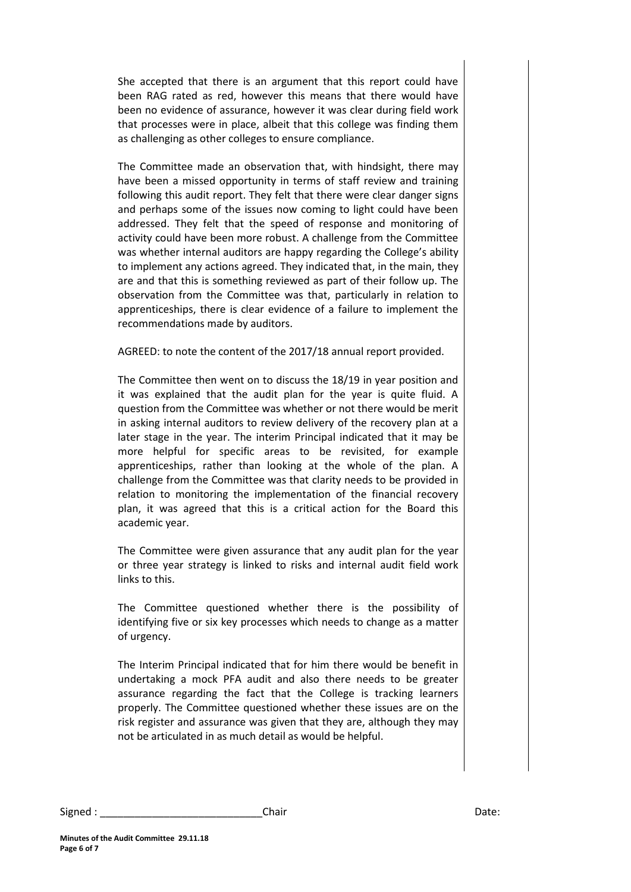She accepted that there is an argument that this report could have been RAG rated as red, however this means that there would have been no evidence of assurance, however it was clear during field work that processes were in place, albeit that this college was finding them as challenging as other colleges to ensure compliance.

The Committee made an observation that, with hindsight, there may have been a missed opportunity in terms of staff review and training following this audit report. They felt that there were clear danger signs and perhaps some of the issues now coming to light could have been addressed. They felt that the speed of response and monitoring of activity could have been more robust. A challenge from the Committee was whether internal auditors are happy regarding the College's ability to implement any actions agreed. They indicated that, in the main, they are and that this is something reviewed as part of their follow up. The observation from the Committee was that, particularly in relation to apprenticeships, there is clear evidence of a failure to implement the recommendations made by auditors.

AGREED: to note the content of the 2017/18 annual report provided.

The Committee then went on to discuss the 18/19 in year position and it was explained that the audit plan for the year is quite fluid. A question from the Committee was whether or not there would be merit in asking internal auditors to review delivery of the recovery plan at a later stage in the year. The interim Principal indicated that it may be more helpful for specific areas to be revisited, for example apprenticeships, rather than looking at the whole of the plan. A challenge from the Committee was that clarity needs to be provided in relation to monitoring the implementation of the financial recovery plan, it was agreed that this is a critical action for the Board this academic year.

The Committee were given assurance that any audit plan for the year or three year strategy is linked to risks and internal audit field work links to this.

The Committee questioned whether there is the possibility of identifying five or six key processes which needs to change as a matter of urgency.

The Interim Principal indicated that for him there would be benefit in undertaking a mock PFA audit and also there needs to be greater assurance regarding the fact that the College is tracking learners properly. The Committee questioned whether these issues are on the risk register and assurance was given that they are, although they may not be articulated in as much detail as would be helpful.